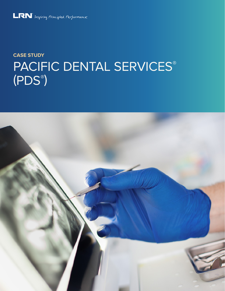

# **CASE STUDY** PACIFIC DENTAL SERVICES® (PDS® )

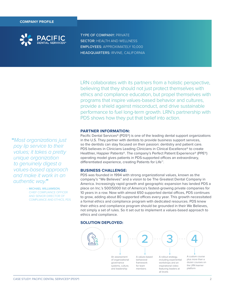

TYPE OF COMPANY: PRIVATE **SECTOR: HEALTH AND WELLNESS** EMPLOYEES: APPROXIMATELY 10,000 HEADQUARTERS: IRVINE, CALIFORNIA

LRN collaborates with its partners from a holistic perspective, believing that they should not just protect themselves with ethics and compliance education, but propel themselves with programs that inspire values-based behavior and cultures, provide a shield against misconduct, and drive sustainable performance to fuel long-term growth. LRN's partnership with PDS shows how they put that belief into action.

## **PARTNER INFORMATION:**

Pacific Dental Services® (PDS®) is one of the leading dental support organizations in the U.S. They partner with dentists to provide business support services, so the dentists can stay focused on their passion: dentistry and patient care. PDS believes in Clinicians Leading Clinicians in Clinical Excellence<sup>®</sup> to create Healthier, Happier Patients®. The company's Perfect Patient Experience® (PPE®) operating model gives patients in PDS-supported offices an extraordinary, differentiated experience, creating Patients for Life™.

### **BUSINESS CHALLENGE:**

PDS was founded in 1994 with strong organizational values, known as the company's "We Believes" and a vision to be The Greatest Dental Company in America. Increasingly rapid growth and geographic expansion has landed PDS a place on Inc.'s 500|5000 list of America's fastest-growing private companies for 10 years in a row. Now with almost 650 supported dental offices, PDS continues to grow, adding about 80 supported offices every year. This growth necessitated a formal ethics and compliance program with dedicated resources. PDS knew their ethics and compliance program should be grounded in their We Believes, not simply a set of rules. So it set out to implement a values-based approach to ethics and compliance.

#### **SOLUTION DEPLOYED:**



**"**Most organizations just pay lip service to their values; it takes a pretty unique organization to genuinely digest a values-based approach and make it work in an authentic way.**"**

> – MICHAEL WILLIAMSON, CHIEF COMPLIANCE OFFICER AND SENIOR DIRECTOR OF COMPLIANCE AND ETHICS, PDS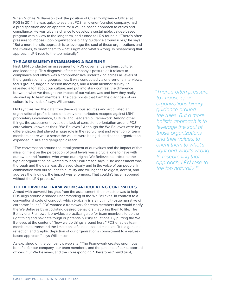When Michael Williamson took the position of Chief Compliance Officer at PDS in 2014, he was quick to see that PDS, an owner-founded company, had a predisposition and an appetite for a values-based approach to ethics and compliance. He was given a chance to develop a sustainable, values-based program with a view to the long term, and turned to LRN for help. "There's often pressure to impose upon organizations binary guidance around rules," he says. "But a more holistic approach is to leverage the soul of those organizations and their values, to orient them to what's right and what's wrong. In researching that approach, LRN rose to the top naturally."

## **THE ASSESSMENT: ESTABLISHING A BASELINE**

First, LRN conducted an assessment of PDS governance systems, culture, and leadership. This diagnosis of the company's posture as it relates to compliance and ethics was a comprehensive undertaking across all levels of the organization and geographies. It was conducted via one-on-one interviews, focus groups, larger in-person meetings, and a team member survey. "It revealed a ton about our culture, and put into stark contrast the difference between what we thought the impact of our values was and how they really showed up to team members. The data points that form the diagnosis of our culture is invaluable," says Williamson.

LRN synthesized the data from these various sources and articulated an organizational profile based on behavioral attributes mapped against LRN's proprietary Governance, Culture, and Leadership Framework. Among other things, the assessment revealed a lack of consistent orientation around PDS' core values, known as their "We Believes." Although the We Believes were key differentiators that played a huge role in the recruitment and retention of team members, there was a sense the values were being diluted as the organization expanded in size and geographic reach.

"The conversation around the misalignment of our values and the impact of that misalignment on the perception of trust levels was a crucial one to have with our owner and founder, who wrote our original We Believes to articulate the type of organization he wanted to lead," Williamson says. "The assessment was thorough and the data was displayed clearly and in the voice of our people. In combination with our founder's humility and willingness to digest, accept, and address the findings, the impact was enormous. That couldn't have happened without the LRN process."

# **THE BEHAVIORAL FRAMEWORK: ARTICULATING CORE VALUES**

Armed with powerful insights from the assessment, the next step was to help PDS align around a shared understanding of the We Believes. In contrast to a conventional code of conduct, which typically is a strict, multi-page narrative of corporate "rules," PDS wanted a framework for team members that would clarify the We Believes by articulating desired behaviors that bring them to life. The Behavioral Framework provides a practical guide for team members to do the right thing and navigate tough or potentially risky situations. By putting the We Believes at the center of "how we do things around here," PDS enables team members to transcend the limitations of a rules-based mindset. "It is a genuine reflection and graphic depiction of our organization's commitment to a valuesbased approach," says Williamson.

As explained on the company's web site: "The Framework creates enormous benefits for our company, our team members, and the patients of our supported offices. Our We Believes, and the corresponding "Therefores," build trust,

**"**There's often pressure to impose upon organizations binary guidance around the rules. But a more holistic approach is to leverage the soul of those organizations and their values, to orient them to what's right and what's wrong. In researching that approach, LRN rose to the top naturally. **"**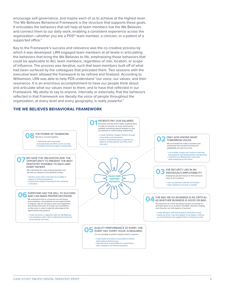encourage self-governance, and inspire each of us to achieve at the highest level. The We Believes Behavioral Framework is the structure that supports these goals. It articulates the behaviors that will help all team members live the We Believes and connect them to our daily work, enabling a consistent experience across the organization—whether you are a PDS® team member, a clinician, or a patient of a supported office."

Key to the Framework's success and relevance was the co-creative process by which it was developed. LRN engaged team members at all levels in articulating the behaviors that bring the We Believes to life, emphasizing those behaviors that could be applicable to ALL team members, regardless of role, location, or scope of influence. The process was iterative, such that team members built off of what had been surfaced by the colleagues that preceded them. Two sessions with the executive team allowed the framework to be refined and finalized. According to Williamson, LRN was able to help PDS understand "our voice, our values, and their resonance. It is an enormous accomplishment to have our people think about and articulate what our values mean to them, and to have that reflected in our Framework. My ability to say to anyone, internally or externally, that the behaviors reflected in that Framework are literally the voice of people throughout the organization, at every level and every geography, is really powerful."

## **THE WE BELIEVES BEHAVIORAL FRAMEWORK**